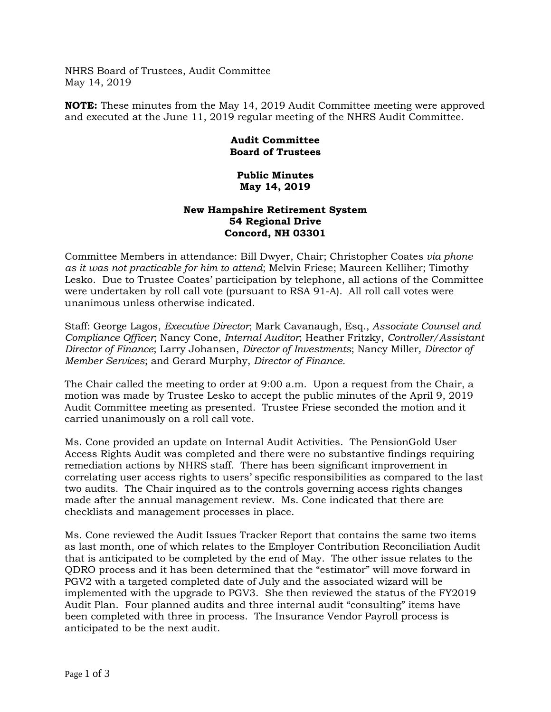NHRS Board of Trustees, Audit Committee May 14, 2019

**NOTE:** These minutes from the May 14, 2019 Audit Committee meeting were approved and executed at the June 11, 2019 regular meeting of the NHRS Audit Committee.

## **Audit Committee Board of Trustees**

## **Public Minutes May 14, 2019**

## **New Hampshire Retirement System 54 Regional Drive Concord, NH 03301**

Committee Members in attendance: Bill Dwyer, Chair; Christopher Coates *via phone as it was not practicable for him to attend*; Melvin Friese; Maureen Kelliher; Timothy Lesko. Due to Trustee Coates' participation by telephone, all actions of the Committee were undertaken by roll call vote (pursuant to RSA 91-A). All roll call votes were unanimous unless otherwise indicated.

Staff: George Lagos, *Executive Director*; Mark Cavanaugh, Esq., *Associate Counsel and Compliance Officer*; Nancy Cone, *Internal Auditor*; Heather Fritzky, *Controller/Assistant Director of Finance*; Larry Johansen, *Director of Investments*; Nancy Miller*, Director of Member Services*; and Gerard Murphy, *Director of Finance.*

The Chair called the meeting to order at 9:00 a.m. Upon a request from the Chair, a motion was made by Trustee Lesko to accept the public minutes of the April 9, 2019 Audit Committee meeting as presented. Trustee Friese seconded the motion and it carried unanimously on a roll call vote.

Ms. Cone provided an update on Internal Audit Activities. The PensionGold User Access Rights Audit was completed and there were no substantive findings requiring remediation actions by NHRS staff. There has been significant improvement in correlating user access rights to users' specific responsibilities as compared to the last two audits. The Chair inquired as to the controls governing access rights changes made after the annual management review. Ms. Cone indicated that there are checklists and management processes in place.

Ms. Cone reviewed the Audit Issues Tracker Report that contains the same two items as last month, one of which relates to the Employer Contribution Reconciliation Audit that is anticipated to be completed by the end of May. The other issue relates to the QDRO process and it has been determined that the "estimator" will move forward in PGV2 with a targeted completed date of July and the associated wizard will be implemented with the upgrade to PGV3. She then reviewed the status of the FY2019 Audit Plan. Four planned audits and three internal audit "consulting" items have been completed with three in process. The Insurance Vendor Payroll process is anticipated to be the next audit.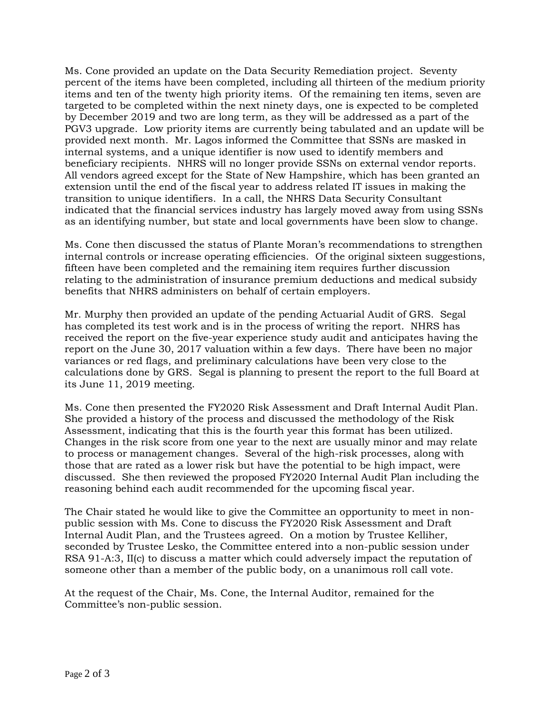Ms. Cone provided an update on the Data Security Remediation project. Seventy percent of the items have been completed, including all thirteen of the medium priority items and ten of the twenty high priority items. Of the remaining ten items, seven are targeted to be completed within the next ninety days, one is expected to be completed by December 2019 and two are long term, as they will be addressed as a part of the PGV3 upgrade. Low priority items are currently being tabulated and an update will be provided next month. Mr. Lagos informed the Committee that SSNs are masked in internal systems, and a unique identifier is now used to identify members and beneficiary recipients. NHRS will no longer provide SSNs on external vendor reports. All vendors agreed except for the State of New Hampshire, which has been granted an extension until the end of the fiscal year to address related IT issues in making the transition to unique identifiers. In a call, the NHRS Data Security Consultant indicated that the financial services industry has largely moved away from using SSNs as an identifying number, but state and local governments have been slow to change.

Ms. Cone then discussed the status of Plante Moran's recommendations to strengthen internal controls or increase operating efficiencies. Of the original sixteen suggestions, fifteen have been completed and the remaining item requires further discussion relating to the administration of insurance premium deductions and medical subsidy benefits that NHRS administers on behalf of certain employers.

Mr. Murphy then provided an update of the pending Actuarial Audit of GRS. Segal has completed its test work and is in the process of writing the report. NHRS has received the report on the five-year experience study audit and anticipates having the report on the June 30, 2017 valuation within a few days. There have been no major variances or red flags, and preliminary calculations have been very close to the calculations done by GRS. Segal is planning to present the report to the full Board at its June 11, 2019 meeting.

Ms. Cone then presented the FY2020 Risk Assessment and Draft Internal Audit Plan. She provided a history of the process and discussed the methodology of the Risk Assessment, indicating that this is the fourth year this format has been utilized. Changes in the risk score from one year to the next are usually minor and may relate to process or management changes. Several of the high-risk processes, along with those that are rated as a lower risk but have the potential to be high impact, were discussed. She then reviewed the proposed FY2020 Internal Audit Plan including the reasoning behind each audit recommended for the upcoming fiscal year.

The Chair stated he would like to give the Committee an opportunity to meet in nonpublic session with Ms. Cone to discuss the FY2020 Risk Assessment and Draft Internal Audit Plan, and the Trustees agreed. On a motion by Trustee Kelliher, seconded by Trustee Lesko, the Committee entered into a non-public session under RSA 91-A:3, II(c) to discuss a matter which could adversely impact the reputation of someone other than a member of the public body, on a unanimous roll call vote.

At the request of the Chair, Ms. Cone, the Internal Auditor, remained for the Committee's non-public session.